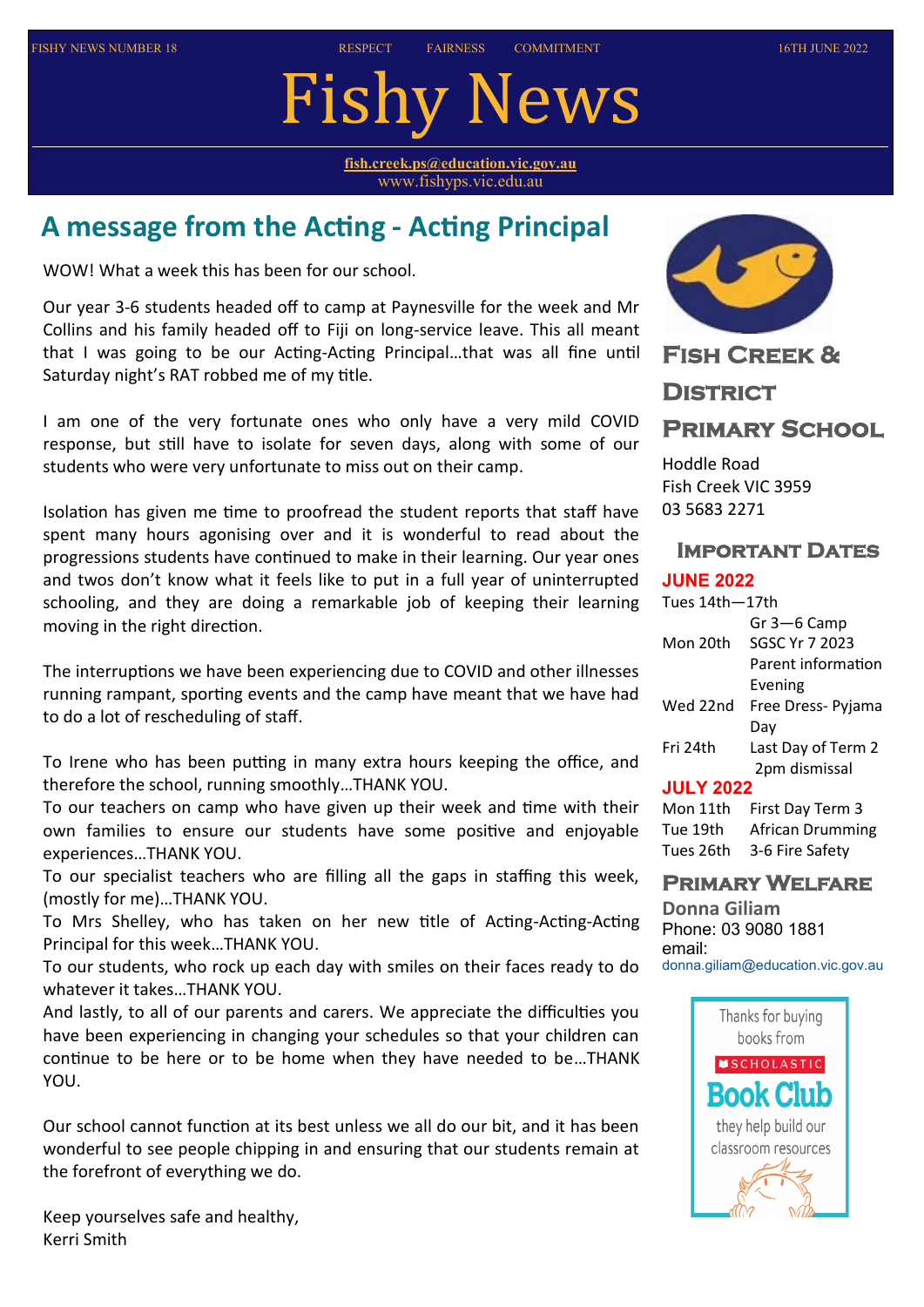# Fishy News

**[fish.creek.ps@education.vic.gov.au](mailto:fish.creek.ps@edumail.vic.gov.au)** www.fishyps.vic.edu.au

# **A message from the Acting - Acting Principal**

WOW! What a week this has been for our school.

Our year 3-6 students headed off to camp at Paynesville for the week and Mr Collins and his family headed off to Fiji on long-service leave. This all meant that I was going to be our Acting-Acting Principal…that was all fine until Saturday night's RAT robbed me of my title.

I am one of the very fortunate ones who only have a very mild COVID response, but still have to isolate for seven days, along with some of our students who were very unfortunate to miss out on their camp.

Isolation has given me time to proofread the student reports that staff have spent many hours agonising over and it is wonderful to read about the progressions students have continued to make in their learning. Our year ones and twos don't know what it feels like to put in a full year of uninterrupted schooling, and they are doing a remarkable job of keeping their learning moving in the right direction.

The interruptions we have been experiencing due to COVID and other illnesses running rampant, sporting events and the camp have meant that we have had to do a lot of rescheduling of staff.

To Irene who has been putting in many extra hours keeping the office, and therefore the school, running smoothly…THANK YOU.

To our teachers on camp who have given up their week and time with their own families to ensure our students have some positive and enjoyable experiences…THANK YOU.

To our specialist teachers who are filling all the gaps in staffing this week, (mostly for me)…THANK YOU.

To Mrs Shelley, who has taken on her new title of Acting-Acting-Acting Principal for this week…THANK YOU.

To our students, who rock up each day with smiles on their faces ready to do whatever it takes…THANK YOU.

And lastly, to all of our parents and carers. We appreciate the difficulties you have been experiencing in changing your schedules so that your children can continue to be here or to be home when they have needed to be…THANK YOU.

Our school cannot function at its best unless we all do our bit, and it has been wonderful to see people chipping in and ensuring that our students remain at the forefront of everything we do.

Keep yourselves safe and healthy, Kerri Smith



**Fish Creek &** 

# **District Primary School**

Hoddle Road Fish Creek VIC 3959 03 5683 2271

# **Important Dates**

## **JUNE 2022**

| Tues 14th-17th |                    |  |
|----------------|--------------------|--|
|                | Gr 3-6 Camp        |  |
| Mon 20th       | SGSC Yr 7 2023     |  |
|                | Parent information |  |
|                | Evening            |  |
| Wed 22nd       | Free Dress- Pyjama |  |
|                | Dav                |  |
| Fri 24th       | Last Day of Term 2 |  |
|                | 2pm dismissal      |  |
|                |                    |  |

## **JULY 2022**

| Mon 11th  | First Day Term 3 |
|-----------|------------------|
| Tue 19th  | African Drumming |
| Tues 26th | 3-6 Fire Safety  |

# **Primary Welfare**

**Donna Giliam** Phone: 03 9080 1881 email: [donna.giliam@education.vic.gov.au](mailto:donna.giliam@education.vic.gov.au)